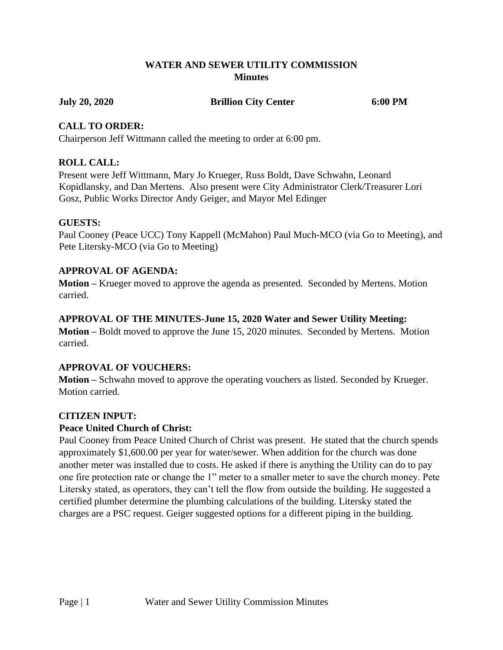## **WATER AND SEWER UTILITY COMMISSION Minutes**

#### **July 20, 2020 Brillion City Center 6:00 PM**

### **CALL TO ORDER:**

Chairperson Jeff Wittmann called the meeting to order at 6:00 pm.

# **ROLL CALL:**

Present were Jeff Wittmann, Mary Jo Krueger, Russ Boldt, Dave Schwahn, Leonard Kopidlansky, and Dan Mertens. Also present were City Administrator Clerk/Treasurer Lori Gosz, Public Works Director Andy Geiger, and Mayor Mel Edinger

## **GUESTS:**

Paul Cooney (Peace UCC) Tony Kappell (McMahon) Paul Much-MCO (via Go to Meeting), and Pete Litersky-MCO (via Go to Meeting)

# **APPROVAL OF AGENDA:**

**Motion –** Krueger moved to approve the agenda as presented. Seconded by Mertens. Motion carried.

## **APPROVAL OF THE MINUTES-June 15, 2020 Water and Sewer Utility Meeting:**

**Motion –** Boldt moved to approve the June 15, 2020 minutes. Seconded by Mertens. Motion carried.

# **APPROVAL OF VOUCHERS:**

**Motion –** Schwahn moved to approve the operating vouchers as listed. Seconded by Krueger. Motion carried.

# **CITIZEN INPUT:**

# **Peace United Church of Christ:**

Paul Cooney from Peace United Church of Christ was present. He stated that the church spends approximately \$1,600.00 per year for water/sewer. When addition for the church was done another meter was installed due to costs. He asked if there is anything the Utility can do to pay one fire protection rate or change the 1" meter to a smaller meter to save the church money. Pete Litersky stated, as operators, they can't tell the flow from outside the building. He suggested a certified plumber determine the plumbing calculations of the building. Litersky stated the charges are a PSC request. Geiger suggested options for a different piping in the building.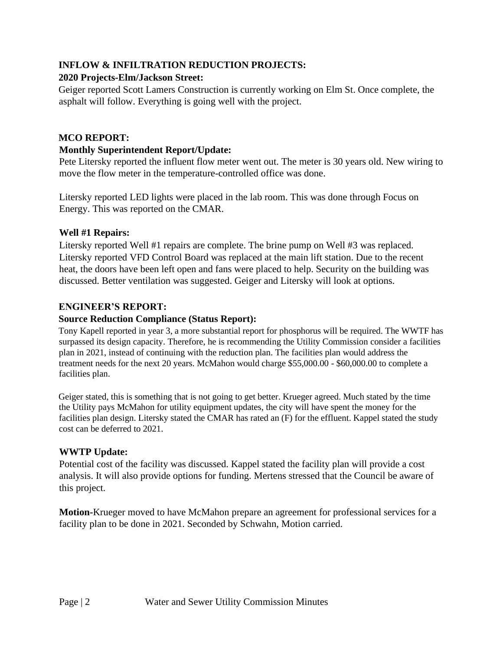# **INFLOW & INFILTRATION REDUCTION PROJECTS:**

### **2020 Projects-Elm/Jackson Street:**

Geiger reported Scott Lamers Construction is currently working on Elm St. Once complete, the asphalt will follow. Everything is going well with the project.

### **MCO REPORT:**

### **Monthly Superintendent Report/Update:**

Pete Litersky reported the influent flow meter went out. The meter is 30 years old. New wiring to move the flow meter in the temperature-controlled office was done.

Litersky reported LED lights were placed in the lab room. This was done through Focus on Energy. This was reported on the CMAR.

#### **Well #1 Repairs:**

Litersky reported Well #1 repairs are complete. The brine pump on Well #3 was replaced. Litersky reported VFD Control Board was replaced at the main lift station. Due to the recent heat, the doors have been left open and fans were placed to help. Security on the building was discussed. Better ventilation was suggested. Geiger and Litersky will look at options.

# **ENGINEER'S REPORT:**

## **Source Reduction Compliance (Status Report):**

Tony Kapell reported in year 3, a more substantial report for phosphorus will be required. The WWTF has surpassed its design capacity. Therefore, he is recommending the Utility Commission consider a facilities plan in 2021, instead of continuing with the reduction plan. The facilities plan would address the treatment needs for the next 20 years. McMahon would charge \$55,000.00 - \$60,000.00 to complete a facilities plan.

Geiger stated, this is something that is not going to get better. Krueger agreed. Much stated by the time the Utility pays McMahon for utility equipment updates, the city will have spent the money for the facilities plan design. Litersky stated the CMAR has rated an (F) for the effluent. Kappel stated the study cost can be deferred to 2021.

# **WWTP Update:**

Potential cost of the facility was discussed. Kappel stated the facility plan will provide a cost analysis. It will also provide options for funding. Mertens stressed that the Council be aware of this project.

**Motion-**Krueger moved to have McMahon prepare an agreement for professional services for a facility plan to be done in 2021. Seconded by Schwahn, Motion carried.